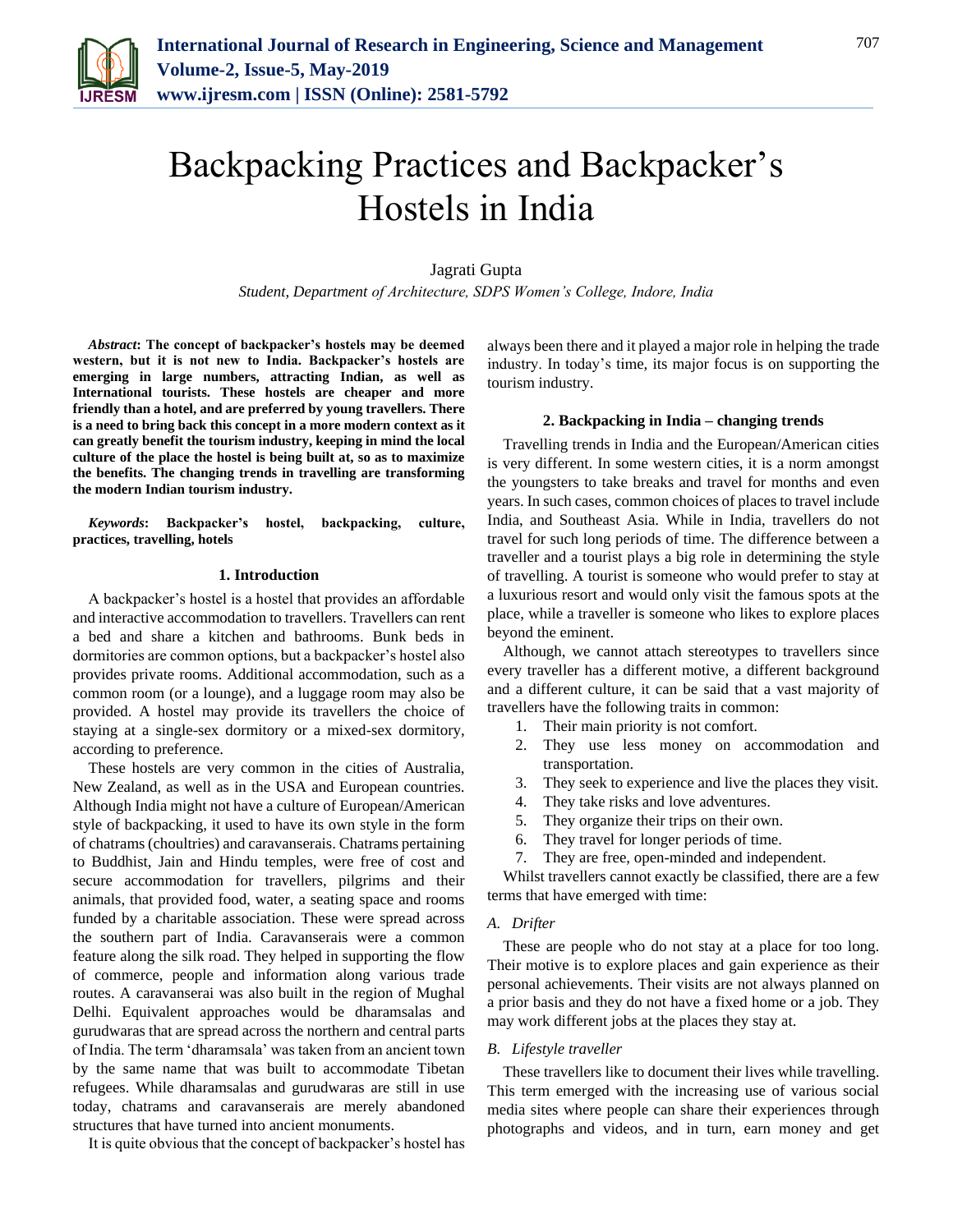

# Backpacking Practices and Backpacker's Hostels in India

## Jagrati Gupta

*Student, Department of Architecture, SDPS Women's College, Indore, India*

*Abstract***: The concept of backpacker's hostels may be deemed western, but it is not new to India. Backpacker's hostels are emerging in large numbers, attracting Indian, as well as International tourists. These hostels are cheaper and more friendly than a hotel, and are preferred by young travellers. There is a need to bring back this concept in a more modern context as it can greatly benefit the tourism industry, keeping in mind the local culture of the place the hostel is being built at, so as to maximize the benefits. The changing trends in travelling are transforming the modern Indian tourism industry.**

*Keywords***: Backpacker's hostel, backpacking, culture, practices, travelling, hotels**

#### **1. Introduction**

A backpacker's hostel is a hostel that provides an affordable and interactive accommodation to travellers. Travellers can rent a bed and share a kitchen and bathrooms. Bunk beds in dormitories are common options, but a backpacker's hostel also provides private rooms. Additional accommodation, such as a common room (or a lounge), and a luggage room may also be provided. A hostel may provide its travellers the choice of staying at a single-sex dormitory or a mixed-sex dormitory, according to preference.

These hostels are very common in the cities of Australia, New Zealand, as well as in the USA and European countries. Although India might not have a culture of European/American style of backpacking, it used to have its own style in the form of chatrams (choultries) and caravanserais. Chatrams pertaining to Buddhist, Jain and Hindu temples, were free of cost and secure accommodation for travellers, pilgrims and their animals, that provided food, water, a seating space and rooms funded by a charitable association. These were spread across the southern part of India. Caravanserais were a common feature along the silk road. They helped in supporting the flow of commerce, people and information along various trade routes. A caravanserai was also built in the region of Mughal Delhi. Equivalent approaches would be dharamsalas and gurudwaras that are spread across the northern and central parts of India. The term 'dharamsala' was taken from an ancient town by the same name that was built to accommodate Tibetan refugees. While dharamsalas and gurudwaras are still in use today, chatrams and caravanserais are merely abandoned structures that have turned into ancient monuments.

It is quite obvious that the concept of backpacker's hostel has

always been there and it played a major role in helping the trade industry. In today's time, its major focus is on supporting the tourism industry.

#### **2. Backpacking in India – changing trends**

Travelling trends in India and the European/American cities is very different. In some western cities, it is a norm amongst the youngsters to take breaks and travel for months and even years. In such cases, common choices of places to travel include India, and Southeast Asia. While in India, travellers do not travel for such long periods of time. The difference between a traveller and a tourist plays a big role in determining the style of travelling. A tourist is someone who would prefer to stay at a luxurious resort and would only visit the famous spots at the place, while a traveller is someone who likes to explore places beyond the eminent.

Although, we cannot attach stereotypes to travellers since every traveller has a different motive, a different background and a different culture, it can be said that a vast majority of travellers have the following traits in common:

- 1. Their main priority is not comfort.
- 2. They use less money on accommodation and transportation.
- 3. They seek to experience and live the places they visit.
- 4. They take risks and love adventures.
- 5. They organize their trips on their own.
- 6. They travel for longer periods of time.
- 7. They are free, open-minded and independent.

Whilst travellers cannot exactly be classified, there are a few terms that have emerged with time:

#### *A. Drifter*

These are people who do not stay at a place for too long. Their motive is to explore places and gain experience as their personal achievements. Their visits are not always planned on a prior basis and they do not have a fixed home or a job. They may work different jobs at the places they stay at.

#### *B. Lifestyle traveller*

These travellers like to document their lives while travelling. This term emerged with the increasing use of various social media sites where people can share their experiences through photographs and videos, and in turn, earn money and get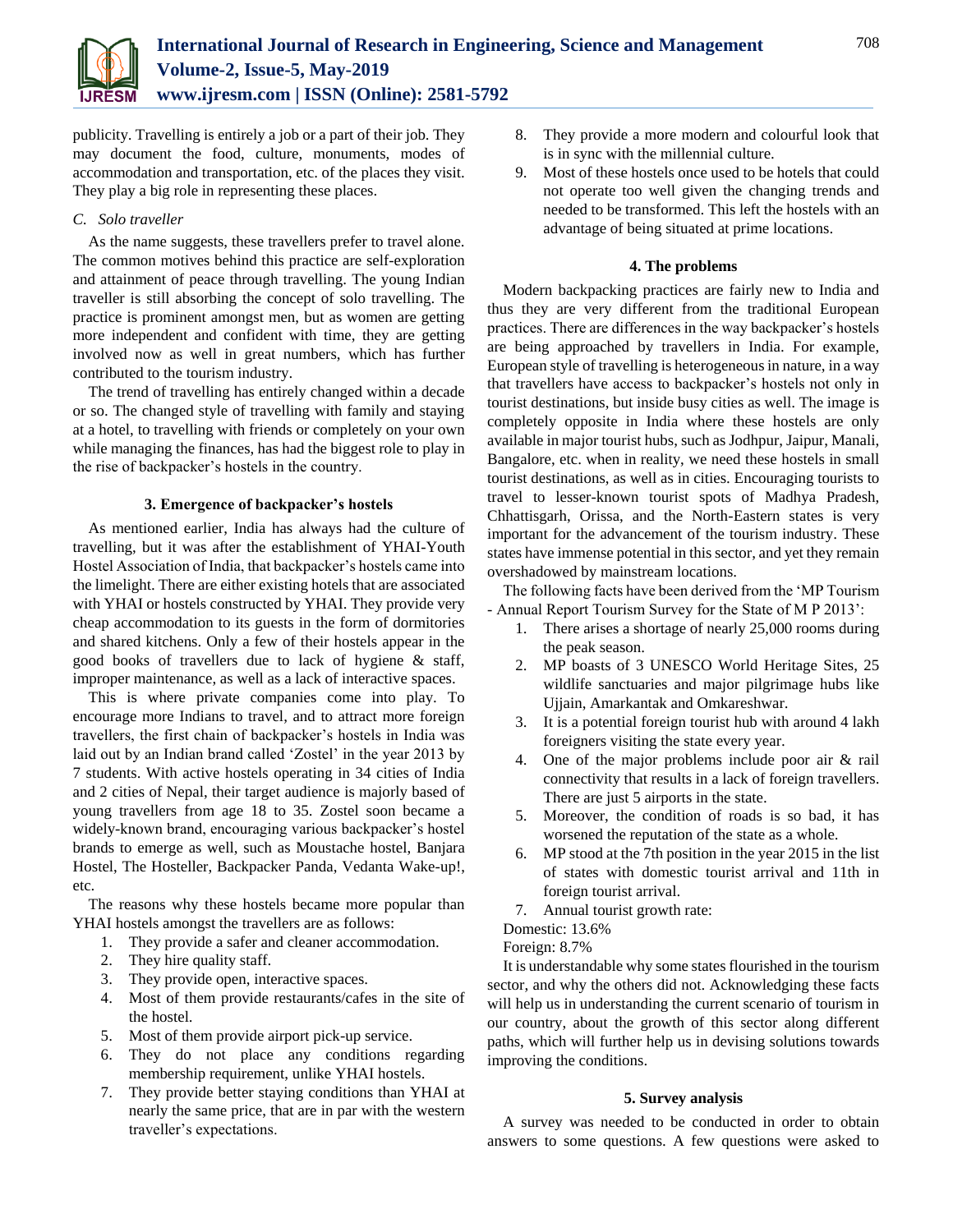

publicity. Travelling is entirely a job or a part of their job. They may document the food, culture, monuments, modes of accommodation and transportation, etc. of the places they visit. They play a big role in representing these places.

### *C. Solo traveller*

As the name suggests, these travellers prefer to travel alone. The common motives behind this practice are self-exploration and attainment of peace through travelling. The young Indian traveller is still absorbing the concept of solo travelling. The practice is prominent amongst men, but as women are getting more independent and confident with time, they are getting involved now as well in great numbers, which has further contributed to the tourism industry.

The trend of travelling has entirely changed within a decade or so. The changed style of travelling with family and staying at a hotel, to travelling with friends or completely on your own while managing the finances, has had the biggest role to play in the rise of backpacker's hostels in the country.

# **3. Emergence of backpacker's hostels**

As mentioned earlier, India has always had the culture of travelling, but it was after the establishment of YHAI-Youth Hostel Association of India, that backpacker's hostels came into the limelight. There are either existing hotels that are associated with YHAI or hostels constructed by YHAI. They provide very cheap accommodation to its guests in the form of dormitories and shared kitchens. Only a few of their hostels appear in the good books of travellers due to lack of hygiene & staff, improper maintenance, as well as a lack of interactive spaces.

This is where private companies come into play. To encourage more Indians to travel, and to attract more foreign travellers, the first chain of backpacker's hostels in India was laid out by an Indian brand called 'Zostel' in the year 2013 by 7 students. With active hostels operating in 34 cities of India and 2 cities of Nepal, their target audience is majorly based of young travellers from age 18 to 35. Zostel soon became a widely-known brand, encouraging various backpacker's hostel brands to emerge as well, such as Moustache hostel, Banjara Hostel, The Hosteller, Backpacker Panda, Vedanta Wake-up!, etc.

The reasons why these hostels became more popular than YHAI hostels amongst the travellers are as follows:

- 1. They provide a safer and cleaner accommodation.
- 2. They hire quality staff.
- 3. They provide open, interactive spaces.
- 4. Most of them provide restaurants/cafes in the site of the hostel.
- 5. Most of them provide airport pick-up service.
- 6. They do not place any conditions regarding membership requirement, unlike YHAI hostels.
- 7. They provide better staying conditions than YHAI at nearly the same price, that are in par with the western traveller's expectations.
- 8. They provide a more modern and colourful look that is in sync with the millennial culture.
- 9. Most of these hostels once used to be hotels that could not operate too well given the changing trends and needed to be transformed. This left the hostels with an advantage of being situated at prime locations.

### **4. The problems**

Modern backpacking practices are fairly new to India and thus they are very different from the traditional European practices. There are differences in the way backpacker's hostels are being approached by travellers in India. For example, European style of travelling is heterogeneous in nature, in a way that travellers have access to backpacker's hostels not only in tourist destinations, but inside busy cities as well. The image is completely opposite in India where these hostels are only available in major tourist hubs, such as Jodhpur, Jaipur, Manali, Bangalore, etc. when in reality, we need these hostels in small tourist destinations, as well as in cities. Encouraging tourists to travel to lesser-known tourist spots of Madhya Pradesh, Chhattisgarh, Orissa, and the North-Eastern states is very important for the advancement of the tourism industry. These states have immense potential in this sector, and yet they remain overshadowed by mainstream locations.

The following facts have been derived from the 'MP Tourism - Annual Report Tourism Survey for the State of M P 2013':

- 1. There arises a shortage of nearly 25,000 rooms during the peak season.
- 2. MP boasts of 3 UNESCO World Heritage Sites, 25 wildlife sanctuaries and major pilgrimage hubs like Ujjain, Amarkantak and Omkareshwar.
- 3. It is a potential foreign tourist hub with around 4 lakh foreigners visiting the state every year.
- 4. One of the major problems include poor air & rail connectivity that results in a lack of foreign travellers. There are just 5 airports in the state.
- 5. Moreover, the condition of roads is so bad, it has worsened the reputation of the state as a whole.
- 6. MP stood at the 7th position in the year 2015 in the list of states with domestic tourist arrival and 11th in foreign tourist arrival.
- 7. Annual tourist growth rate:

Domestic: 13.6%

Foreign: 8.7%

It is understandable why some states flourished in the tourism sector, and why the others did not. Acknowledging these facts will help us in understanding the current scenario of tourism in our country, about the growth of this sector along different paths, which will further help us in devising solutions towards improving the conditions.

# **5. Survey analysis**

A survey was needed to be conducted in order to obtain answers to some questions. A few questions were asked to